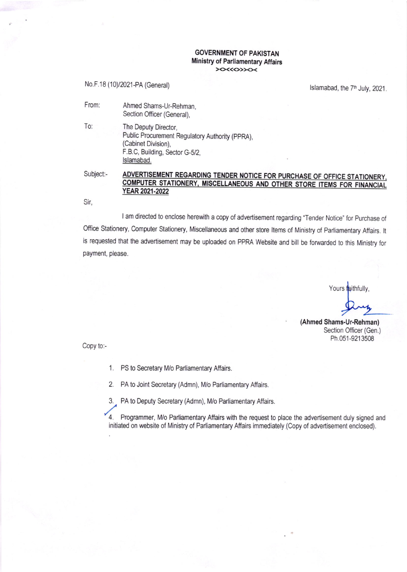## GOVERNMENT OF PAKISTAN Ministry of Parliamentary Affairs  $>$

No.F.18 (10)/2021-PA (General)

Islamabad, the  $7<sup>th</sup>$  July, 2021.

Ahmed Shams-Ur-Rehman, Section Officer (General), From:

To: The Deputy Director, Public Procurement Regulatory Authority (ppRA), (Cabinet Division), F.B.C, Building, Sector G-5/2, lslamabad.

# Subject:- ADVERTISEMENT REGARDING TENDER NOTICE FOR PURCHASE OF OFFICE STATIONERY, COMPUTER STATIONERY, MISCELLANEOUS AND OTHER STORE ITEMS FOR FINANCIAL YEAR 2021-2022

Sir,

I am directed to enclose herewith a copy of advertisement regarding "Tender Notice" for Purchase of Office Stationery, Computer Stationery, Miscellaneous and other store ltems of Ministry of Parliamentary Affairs. lt is requested that the advertisement may be uploaded on PPRA Website and bill be forwarded to this Ministry for payment, please.

Yours faithfully,

any

(Ahmed Shams-Ur-Rehman) Section Officer (Gen.) Ph.051-9213508

Copy to:-

- <sup>1</sup>, PS to Secretary M/o Parliamentary Affairs.
- 2. PA to Joint Secretary (Admn), M/o Parliamentary Affairs.
- 3. PA to Deputy Secretary (Admn), M/o Parliamentary Affairs.

4. Programmer, M/o Parliamentary Affairs with the request to place the advertisement duly signed and initiated on website of Ministry of Parliamentary Affairs immediately (Copy of advertisement enclosed).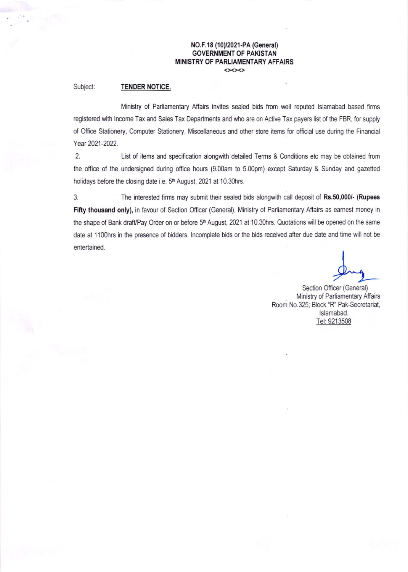### NO.F.18 (10)/2021-PA (General) GOVERNMENT OF PAKISTAN MINISTRY OF PARLIAMENTARY AFFAIRSくゝくゝくゝ

## Subject: TENDER NOTICE.

Ministry of Parliamentary Affairs invites sealed bids from well reputed lslamabad based firms registered with lncome Tax and Sales Tax Departments and who are on Active Tax payers list of the FBR, for supply of Office Stationery, Computer Stationery, Miscellaneous and other store items for official use during the Financial Year 2021-2022.

2. List of items and specification alongwith detailed Terms & Conditions etc may be obtained from the office of the undersigned during office hours (9.00am to 5.00pm) except Saturday & Sunday and gazetted holidays before the closing date i.e. 5<sup>th</sup> August, 2021 at 10.30hrs.

3. The interested firms may submit their sealed bids alongwith call deposit of Rs.50,000/- (Rupees Fifty thousand only), in favour of Section Officer (General), Ministry of Parliamentary Affairs as earnest money in the shape of Bank draft/Pay Order on or before 5<sup>th</sup> August, 2021 at 10.30hrs. Quotations will be opened on the same date at 1100hrs in the presence of bidders. lncomplete bids or the bids received after due date and time will not be entertained.

Section Officer (General) Ministry of Parliamentary Affairs Room N0.325; Block 'R' Pak-Secretariat, lslamabad. Tel: 9213508